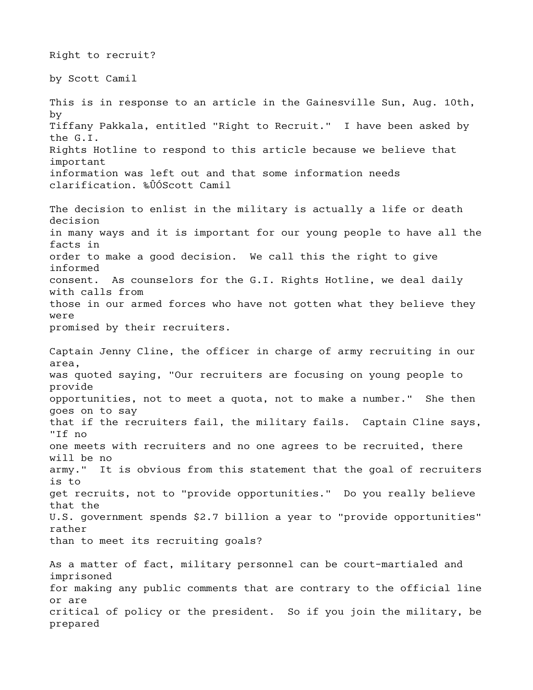Right to recruit? by Scott Camil This is in response to an article in the Gainesville Sun, Aug. 10th, by Tiffany Pakkala, entitled "Right to Recruit." I have been asked by the G.I. Rights Hotline to respond to this article because we believe that important information was left out and that some information needs clarification. ‰ÛÓScott Camil The decision to enlist in the military is actually a life or death decision in many ways and it is important for our young people to have all the facts in order to make a good decision. We call this the right to give informed consent. As counselors for the G.I. Rights Hotline, we deal daily with calls from those in our armed forces who have not gotten what they believe they were promised by their recruiters. Captain Jenny Cline, the officer in charge of army recruiting in our area, was quoted saying, "Our recruiters are focusing on young people to provide opportunities, not to meet a quota, not to make a number." She then goes on to say that if the recruiters fail, the military fails. Captain Cline says, "If no one meets with recruiters and no one agrees to be recruited, there will be no army." It is obvious from this statement that the goal of recruiters is to get recruits, not to "provide opportunities." Do you really believe that the U.S. government spends \$2.7 billion a year to "provide opportunities" rather than to meet its recruiting goals? As a matter of fact, military personnel can be court-martialed and imprisoned for making any public comments that are contrary to the official line or are critical of policy or the president. So if you join the military, be prepared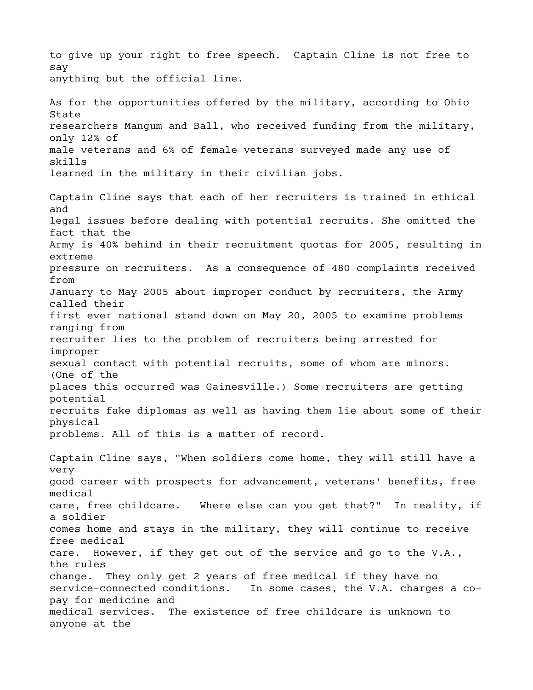to give up your right to free speech. Captain Cline is not free to say anything but the official line. As for the opportunities offered by the military, according to Ohio State researchers Mangum and Ball, who received funding from the military, only 12% of male veterans and 6% of female veterans surveyed made any use of skills learned in the military in their civilian jobs. Captain Cline says that each of her recruiters is trained in ethical and legal issues before dealing with potential recruits. She omitted the fact that the Army is 40% behind in their recruitment quotas for 2005, resulting in extreme pressure on recruiters. As a consequence of 480 complaints received from January to May 2005 about improper conduct by recruiters, the Army called their first ever national stand down on May 20, 2005 to examine problems ranging from recruiter lies to the problem of recruiters being arrested for improper sexual contact with potential recruits, some of whom are minors. (One of the places this occurred was Gainesville.) Some recruiters are getting potential recruits fake diplomas as well as having them lie about some of their physical problems. All of this is a matter of record. Captain Cline says, "When soldiers come home, they will still have a very good career with prospects for advancement, veterans' benefits, free medical care, free childcare. Where else can you get that?" In reality, if a soldier comes home and stays in the military, they will continue to receive free medical care. However, if they get out of the service and go to the V.A., the rules change. They only get 2 years of free medical if they have no service-connected conditions. In some cases, the V.A. charges a copay for medicine and medical services. The existence of free childcare is unknown to anyone at the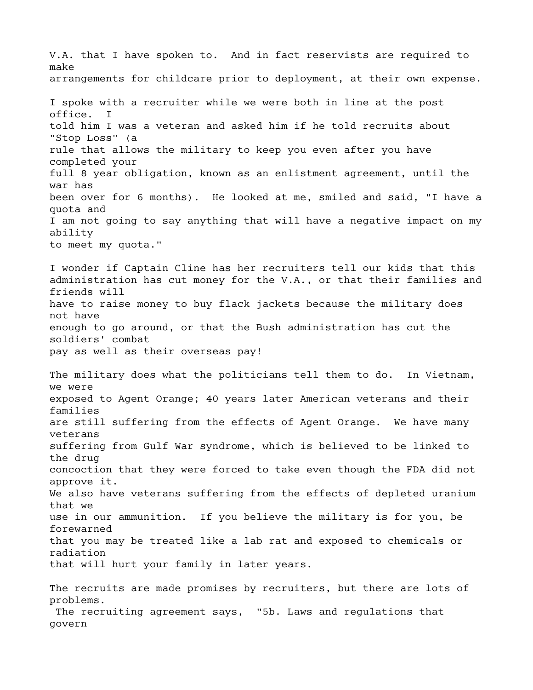V.A. that I have spoken to. And in fact reservists are required to make arrangements for childcare prior to deployment, at their own expense. I spoke with a recruiter while we were both in line at the post office. I told him I was a veteran and asked him if he told recruits about "Stop Loss" (a rule that allows the military to keep you even after you have completed your full 8 year obligation, known as an enlistment agreement, until the war has been over for 6 months). He looked at me, smiled and said, "I have a quota and I am not going to say anything that will have a negative impact on my ability to meet my quota." I wonder if Captain Cline has her recruiters tell our kids that this administration has cut money for the V.A., or that their families and friends will have to raise money to buy flack jackets because the military does not have enough to go around, or that the Bush administration has cut the soldiers' combat pay as well as their overseas pay! The military does what the politicians tell them to do. In Vietnam, we were exposed to Agent Orange; 40 years later American veterans and their families are still suffering from the effects of Agent Orange. We have many veterans suffering from Gulf War syndrome, which is believed to be linked to the drug concoction that they were forced to take even though the FDA did not approve it. We also have veterans suffering from the effects of depleted uranium that we use in our ammunition. If you believe the military is for you, be forewarned that you may be treated like a lab rat and exposed to chemicals or radiation that will hurt your family in later years. The recruits are made promises by recruiters, but there are lots of problems.

 The recruiting agreement says, "5b. Laws and regulations that govern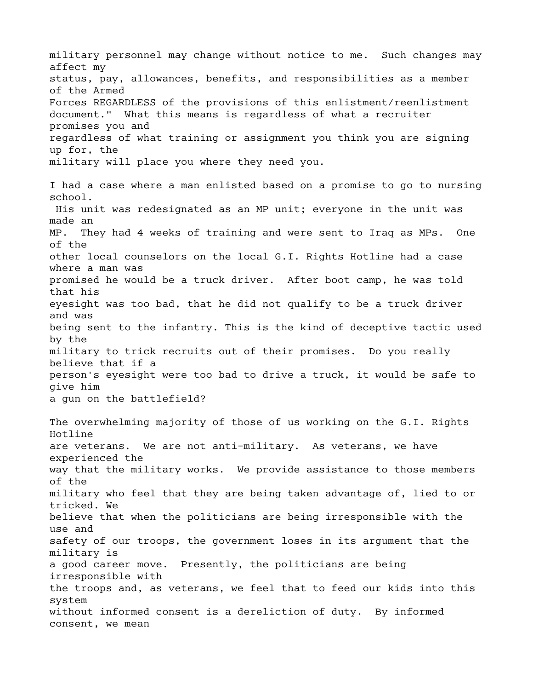military personnel may change without notice to me. Such changes may affect my status, pay, allowances, benefits, and responsibilities as a member of the Armed Forces REGARDLESS of the provisions of this enlistment/reenlistment document." What this means is regardless of what a recruiter promises you and regardless of what training or assignment you think you are signing up for, the military will place you where they need you. I had a case where a man enlisted based on a promise to go to nursing school. His unit was redesignated as an MP unit; everyone in the unit was made an MP. They had 4 weeks of training and were sent to Iraq as MPs. One of the other local counselors on the local G.I. Rights Hotline had a case where a man was promised he would be a truck driver. After boot camp, he was told that his eyesight was too bad, that he did not qualify to be a truck driver and was being sent to the infantry. This is the kind of deceptive tactic used by the military to trick recruits out of their promises. Do you really believe that if a person's eyesight were too bad to drive a truck, it would be safe to give him a gun on the battlefield? The overwhelming majority of those of us working on the G.I. Rights Hotline are veterans. We are not anti-military. As veterans, we have experienced the way that the military works. We provide assistance to those members of the military who feel that they are being taken advantage of, lied to or tricked. We believe that when the politicians are being irresponsible with the use and safety of our troops, the government loses in its argument that the military is a good career move. Presently, the politicians are being irresponsible with the troops and, as veterans, we feel that to feed our kids into this system without informed consent is a dereliction of duty. By informed consent, we mean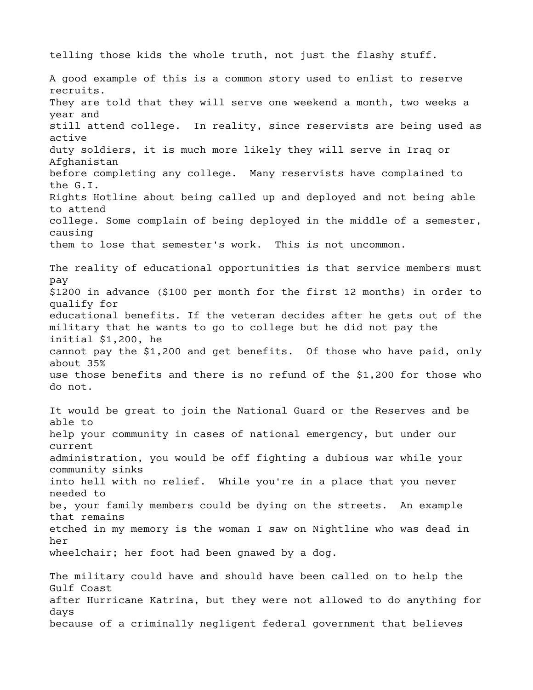telling those kids the whole truth, not just the flashy stuff.

A good example of this is a common story used to enlist to reserve recruits. They are told that they will serve one weekend a month, two weeks a year and still attend college. In reality, since reservists are being used as active duty soldiers, it is much more likely they will serve in Iraq or Afghanistan before completing any college. Many reservists have complained to the G.I. Rights Hotline about being called up and deployed and not being able to attend college. Some complain of being deployed in the middle of a semester, causing them to lose that semester's work. This is not uncommon. The reality of educational opportunities is that service members must pay \$1200 in advance (\$100 per month for the first 12 months) in order to qualify for educational benefits. If the veteran decides after he gets out of the military that he wants to go to college but he did not pay the initial \$1,200, he cannot pay the \$1,200 and get benefits. Of those who have paid, only about 35% use those benefits and there is no refund of the \$1,200 for those who do not. It would be great to join the National Guard or the Reserves and be able to help your community in cases of national emergency, but under our current administration, you would be off fighting a dubious war while your community sinks into hell with no relief. While you're in a place that you never needed to be, your family members could be dying on the streets. An example that remains etched in my memory is the woman I saw on Nightline who was dead in her wheelchair; her foot had been gnawed by a dog. The military could have and should have been called on to help the Gulf Coast after Hurricane Katrina, but they were not allowed to do anything for days

because of a criminally negligent federal government that believes